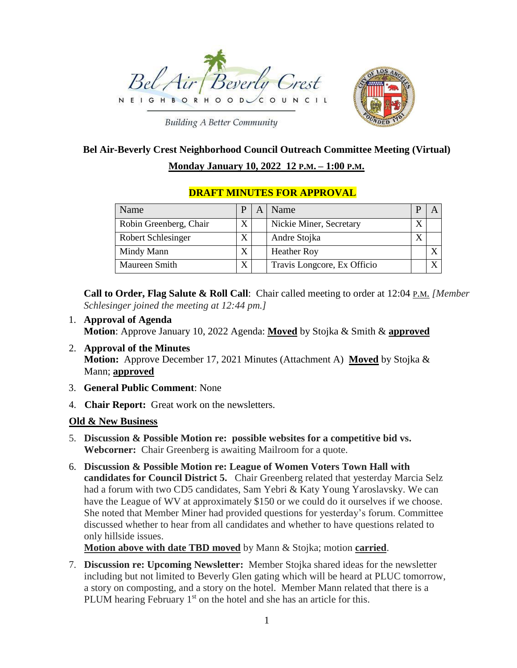



**Building A Better Community** 

# **Bel Air-Beverly Crest Neighborhood Council Outreach Committee Meeting (Virtual) Monday January 10, 2022 12 P.M. – 1:00 P.M.**

## Name  $|P|A|$  Name  $|P|A|$ Robin Greenberg, Chair  $X \mid \mathbb{X}$  Nickie Miner, Secretary  $X$ Robert Schlesinger X Andre Stojka Mindy Mann  $X$  Heather Roy  $X$   $X$ Maureen Smith  $X \mid \text{Travis Longcore, Ex Office} \mid X$

### **DRAFT MINUTES FOR APPROVAL**

**Call to Order, Flag Salute & Roll Call**: Chair called meeting to order at 12:04 P.M. *[Member Schlesinger joined the meeting at 12:44 pm.]*

- 1. **Approval of Agenda Motion**: Approve January 10, 2022 Agenda: **Moved** by Stojka & Smith & **approved**
- 2. **Approval of the Minutes Motion:** Approve December 17, 2021 Minutes (Attachment A) **Moved** by Stojka & Mann; **approved**
- 3. **General Public Comment**: None
- 4. **Chair Report:** Great work on the newsletters.

#### **Old & New Business**

- 5. **Discussion & Possible Motion re: possible websites for a competitive bid vs. Webcorner:** Chair Greenberg is awaiting Mailroom for a quote.
- 6. **Discussion & Possible Motion re: League of Women Voters Town Hall with candidates for Council District 5.** Chair Greenberg related that yesterday Marcia Selz had a forum with two CD5 candidates, Sam Yebri & Katy Young Yaroslavsky. We can have the League of WV at approximately \$150 or we could do it ourselves if we choose. She noted that Member Miner had provided questions for yesterday's forum. Committee discussed whether to hear from all candidates and whether to have questions related to only hillside issues.

**Motion above with date TBD moved** by Mann & Stojka; motion **carried**.

7. **Discussion re: Upcoming Newsletter:** Member Stojka shared ideas for the newsletter including but not limited to Beverly Glen gating which will be heard at PLUC tomorrow, a story on composting, and a story on the hotel. Member Mann related that there is a PLUM hearing February 1<sup>st</sup> on the hotel and she has an article for this.